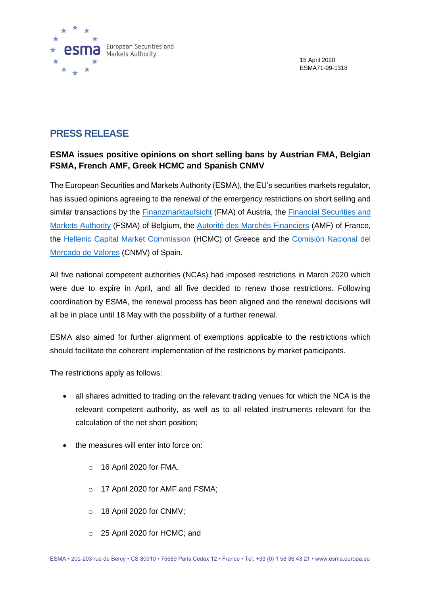

## **PRESS RELEASE**

## **ESMA issues positive opinions on short selling bans by Austrian FMA, Belgian FSMA, French AMF, Greek HCMC and Spanish CNMV**

The European Securities and Markets Authority (ESMA), the EU's securities markets regulator, has issued opinions agreeing to the renewal of the emergency restrictions on short selling and similar transactions by the [Finanzmarktaufsicht](https://www.esma.europa.eu/sites/default/files/library/esma70-155-9848_opinion_on_fma_emergency_measure_under_the_ssr.pdf) (FMA) of Austria, the Financial Securities and [Markets Authority](https://www.esma.europa.eu/sites/default/files/library/esma70-155-9833_opinion_on_fsma_emergency_measure_under_the_ssr.pdf) (FSMA) of Belgium, the [Autorité des Marchés Financiers](https://www.esma.europa.eu/sites/default/files/library/esma70-155-9854_opinion_on_amf_emergency_measure_under_the_ssr.pdf) (AMF) of France, the [Hellenic Capital Market Commission](https://www.esma.europa.eu/sites/default/files/library/esma70-155-9853_opinion_on_hcmc_emergency_measure_under_the_ssr.pdf) (HCMC) of Greece and the [Comisión Nacional del](https://www.esma.europa.eu/sites/default/files/library/esma70-155-9845_opinion_on_cnmv_emergency_measure_under_the_ssr.pdf)  [Mercado de Valores](https://www.esma.europa.eu/sites/default/files/library/esma70-155-9845_opinion_on_cnmv_emergency_measure_under_the_ssr.pdf) (CNMV) of Spain.

All five national competent authorities (NCAs) had imposed restrictions in March 2020 which were due to expire in April, and all five decided to renew those restrictions. Following coordination by ESMA, the renewal process has been aligned and the renewal decisions will all be in place until 18 May with the possibility of a further renewal.

ESMA also aimed for further alignment of exemptions applicable to the restrictions which should facilitate the coherent implementation of the restrictions by market participants.

The restrictions apply as follows:

- all shares admitted to trading on the relevant trading venues for which the NCA is the relevant competent authority, as well as to all related instruments relevant for the calculation of the net short position;
- the measures will enter into force on:
	- $\circ$  16 April 2020 for FMA.
	- o 17 April 2020 for AMF and FSMA;
	- o 18 April 2020 for CNMV;
	- o 25 April 2020 for HCMC; and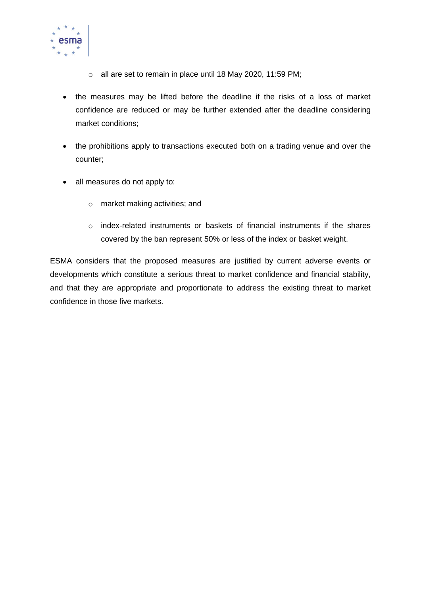

- o all are set to remain in place until 18 May 2020, 11:59 PM;
- the measures may be lifted before the deadline if the risks of a loss of market confidence are reduced or may be further extended after the deadline considering market conditions;
- the prohibitions apply to transactions executed both on a trading venue and over the counter;
- all measures do not apply to:
	- o market making activities; and
	- o index-related instruments or baskets of financial instruments if the shares covered by the ban represent 50% or less of the index or basket weight.

ESMA considers that the proposed measures are justified by current adverse events or developments which constitute a serious threat to market confidence and financial stability, and that they are appropriate and proportionate to address the existing threat to market confidence in those five markets.